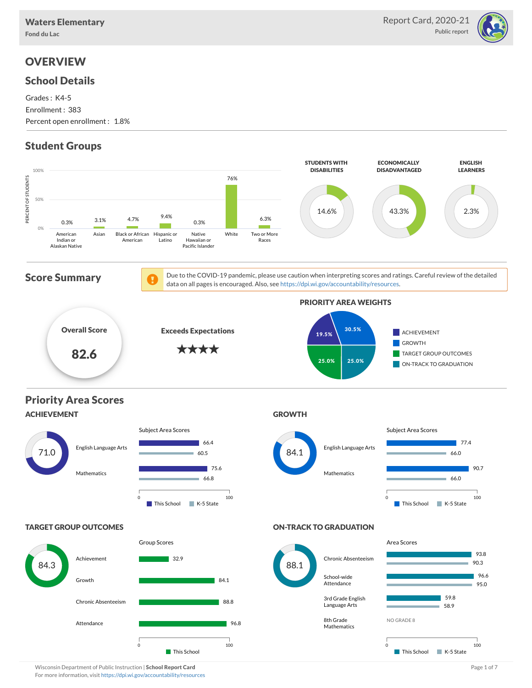

## **OVERVIEW**

### School Details

Grades : K4-5 Enrollment : 383 Percent open enrollment : 1.8%

## Student Groups



Wisconsin Department of Public Instruction | School Report Card Page 1 of 7 and 2008 and 2008 and Page 1 of 7 For more information, visit <https://dpi.wi.gov/accountability/resources>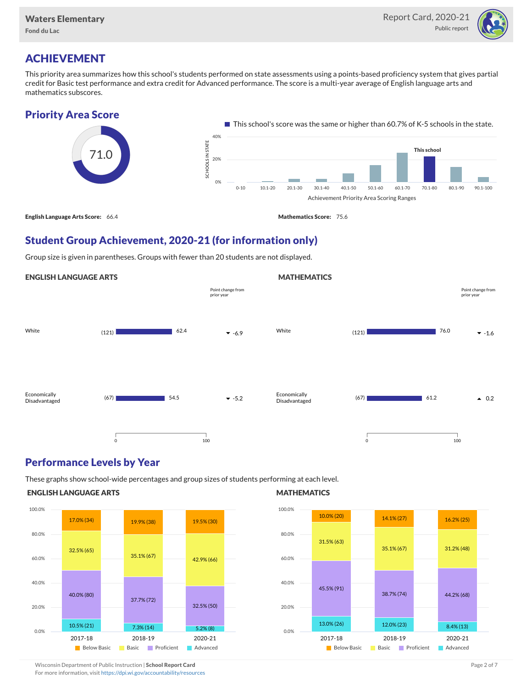

## ACHIEVEMENT

This priority area summarizes how this school's students performed on state assessments using a points-based proficiency system that gives partial credit for Basic test performance and extra credit for Advanced performance. The score is a multi-year average of English language arts and mathematics subscores.

### Priority Area Score



### Student Group Achievement, 2020-21 (for information only)

Group size is given in parentheses. Groups with fewer than 20 students are not displayed.

### ENGLISH LANGUAGE ARTS



### Performance Levels by Year

These graphs show school-wide percentages and group sizes of students performing at each level.

#### ENGLISH LANGUAGE ARTS



### **MATHEMATICS**

**MATHEMATICS** 



Wisconsin Department of Public Instruction | School Report Card Page 2 of 7 and 2008 and 2009 and 2 of 7 and 2 of 7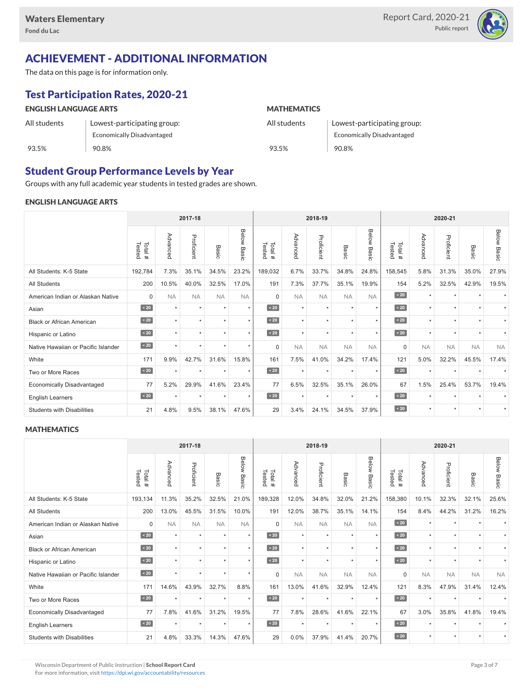

## ACHIEVEMENT - ADDITIONAL INFORMATION

The data on this page is for information only.

## Test Participation Rates, 2020-21

| <b>ENGLISH LANGUAGE ARTS</b> |                                   | <b>MATHEMATICS</b> |                                   |  |  |  |  |
|------------------------------|-----------------------------------|--------------------|-----------------------------------|--|--|--|--|
| All students                 | Lowest-participating group:       | All students       | Lowest-participating group:       |  |  |  |  |
|                              | <b>Economically Disadvantaged</b> |                    | <b>Economically Disadvantaged</b> |  |  |  |  |
| 93.5%                        | 90.8%                             | 93.5%              | 90.8%                             |  |  |  |  |

### Student Group Performance Levels by Year

Groups with any full academic year students in tested grades are shown.

### ENGLISH LANGUAGE ARTS

|                                     | 2017-18          |           |            |           |                |                  |           | 2018-19    |           |                | 2020-21          |           |            |                      |                |
|-------------------------------------|------------------|-----------|------------|-----------|----------------|------------------|-----------|------------|-----------|----------------|------------------|-----------|------------|----------------------|----------------|
|                                     | Tested<br>Total# | Advanced  | Proficient | Basic     | Below<br>Basic | Tested<br>Total# | Advancec  | Proficient | Basic     | Below<br>Basic | Tested<br>Total# | Advanced  | Proficient | Basic                | Below<br>Basic |
| All Students: K-5 State             | 192,784          | 7.3%      | 35.1%      | 34.5%     | 23.2%          | 189,032          | 6.7%      | 33.7%      | 34.8%     | 24.8%          | 158,545          | 5.8%      | 31.3%      | 35.0%                | 27.9%          |
| <b>All Students</b>                 | 200              | 10.5%     | 40.0%      | 32.5%     | 17.0%          | 191              | 7.3%      | 37.7%      | 35.1%     | 19.9%          | 154              | 5.2%      | 32.5%      | 42.9%                | 19.5%          |
| American Indian or Alaskan Native   | $\Omega$         | <b>NA</b> | <b>NA</b>  | <b>NA</b> | <b>NA</b>      | $\Omega$         | <b>NA</b> | <b>NA</b>  | <b>NA</b> | <b>NA</b>      | $\angle 20$      | $\star$   | $\star$    | $\ddot{}$            |                |
| Asian                               | $\sim 20$        | $\star$   | $\star$    | $\star$   | $\star$        | $\leq 20$        | $\star$   | $\star$    | $\star$   | $\star$        | $\sim 20$        | $\star$   | $\star$    | $\ddot{\phantom{1}}$ |                |
| <b>Black or African American</b>    | $\sim 20$        | $\star$   | $\star$    | $\star$   | $\star$        | $\sim 20$        | $\star$   | $\star$    | $\star$   | $\star$        | $\sim 20$        | $\star$   | $\star$    | $\star$              |                |
| Hispanic or Latino                  | $\sim 20$        | $\star$   | $\star$    | ٠         | $\star$        | $\angle 20$      | $\star$   | $\star$    |           | $\star$        | $\sim 20$        | $\star$   | $\star$    |                      |                |
| Native Hawaiian or Pacific Islander | $\sim 20$        | ٠         | $\star$    | $\star$   | $\star$        | $\Omega$         | <b>NA</b> | <b>NA</b>  | <b>NA</b> | <b>NA</b>      | $\Omega$         | <b>NA</b> | <b>NA</b>  | <b>NA</b>            | <b>NA</b>      |
| White                               | 171              | 9.9%      | 42.7%      | 31.6%     | 15.8%          | 161              | 7.5%      | 41.0%      | 34.2%     | 17.4%          | 121              | 5.0%      | 32.2%      | 45.5%                | 17.4%          |
| Two or More Races                   | $\angle 20$      | $\star$   | $\star$    | $\star$   | $\star$        | $\angle 20$      | $\star$   | $\star$    | $\ddot{}$ | $\star$        | $\angle 20$      | $\star$   | $\star$    |                      | $\star$        |
| <b>Economically Disadvantaged</b>   | 77               | 5.2%      | 29.9%      | 41.6%     | 23.4%          | 77               | 6.5%      | 32.5%      | 35.1%     | 26.0%          | 67               | 1.5%      | 25.4%      | 53.7%                | 19.4%          |
| <b>English Learners</b>             | $\sim 20$        | $\star$   | $\star$    | $\star$   | $\star$        | $\sim 20$        | $\star$   | $\star$    | $\star$   | $\star$        | $\sim 20$        | $\star$   | $\star$    |                      |                |
| <b>Students with Disabilities</b>   | 21               | 4.8%      | 9.5%       | 38.1%     | 47.6%          | 29               | 3.4%      | 24.1%      | 34.5%     | 37.9%          | $\sim 20$        | $\star$   | $\star$    | $\star$              | $\star$        |

#### **MATHEMATICS**

|                                     | 2017-18           |           |            |           |                       |                         |           | 2018-19    |           |                       | 2020-21          |           |            |           |                    |
|-------------------------------------|-------------------|-----------|------------|-----------|-----------------------|-------------------------|-----------|------------|-----------|-----------------------|------------------|-----------|------------|-----------|--------------------|
|                                     | Tested<br>Total # | Advanced  | Proficient | Basic     | Below<br><b>Basic</b> | Tested<br>Total #       | Advanced  | Proficient | Basic     | <b>Below</b><br>Basic | Tested<br>Total# | Advanced  | Proficient | Basic     | <b>Below Basic</b> |
| All Students: K-5 State             | 193,134           | 11.3%     | 35.2%      | 32.5%     | 21.0%                 | 189,328                 | 12.0%     | 34.8%      | 32.0%     | 21.2%                 | 158,380          | 10.1%     | 32.3%      | 32.1%     | 25.6%              |
| <b>All Students</b>                 | 200               | 13.0%     | 45.5%      | 31.5%     | 10.0%                 | 191                     | 12.0%     | 38.7%      | 35.1%     | 14.1%                 | 154              | 8.4%      | 44.2%      | 31.2%     | 16.2%              |
| American Indian or Alaskan Native   | $\Omega$          | <b>NA</b> | <b>NA</b>  | <b>NA</b> | <b>NA</b>             | $\Omega$                | <b>NA</b> | <b>NA</b>  | <b>NA</b> | <b>NA</b>             | $\sim 20$        | $\star$   | $\star$    | $\ddot{}$ |                    |
| Asian                               | $\angle 20$       | $\star$   | $\star$    | $\star$   | $\star$               | $\overline{\big }$ < 20 | $\star$   | $\star$    | $\star$   | $\star$               | $\overline{20}$  | $\star$   | $\star$    | $\star$   |                    |
| <b>Black or African American</b>    | $\angle 20$       | $\star$   | $\star$    | $\star$   | $\star$               | $\angle 20$             | $\star$   | $\star$    | $\star$   | $\star$               | $\overline{20}$  | $\star$   | $\star$    | $\ddot{}$ |                    |
| Hispanic or Latino                  | $\angle 20$       | $\star$   | $\star$    |           | $\star$               | $\angle 20$             | $\star$   | $\star$    | $\star$   | $\star$               | $\sim 20$        | $\star$   | $\star$    |           |                    |
| Native Hawaiian or Pacific Islander | $\sim 20$         | $\star$   | $\star$    | $\star$   | $\star$               | $\Omega$                | <b>NA</b> | <b>NA</b>  | <b>NA</b> | <b>NA</b>             | $\Omega$         | <b>NA</b> | <b>NA</b>  | <b>NA</b> | <b>NA</b>          |
| White                               | 171               | 14.6%     | 43.9%      | 32.7%     | 8.8%                  | 161                     | 13.0%     | 41.6%      | 32.9%     | 12.4%                 | 121              | 8.3%      | 47.9%      | 31.4%     | 12.4%              |
| Two or More Races                   | $\angle 20$       | $\star$   | $\star$    | $\star$   | $\star$               | $\angle 20$             | $\star$   | $\star$    | $\star$   | $\star$               | $\sim 20$        | $\star$   | $\star$    |           |                    |
| <b>Economically Disadvantaged</b>   | 77                | 7.8%      | 41.6%      | 31.2%     | 19.5%                 | 77                      | 7.8%      | 28.6%      | 41.6%     | 22.1%                 | 67               | 3.0%      | 35.8%      | 41.8%     | 19.4%              |
| English Learners                    | $\angle 20$       | $\star$   | $\star$    | $\star$   | $\star$               | $\angle 20$             | $\star$   | $\star$    | $\star$   | $\star$               | $\overline{20}$  | $\star$   | $\star$    |           |                    |
| <b>Students with Disabilities</b>   | 21                | 4.8%      | 33.3%      | 14.3%     | 47.6%                 | 29                      | 0.0%      | 37.9%      | 41.4%     | 20.7%                 | $\sim 20$        | $\star$   | $\star$    | $\star$   | $\star$            |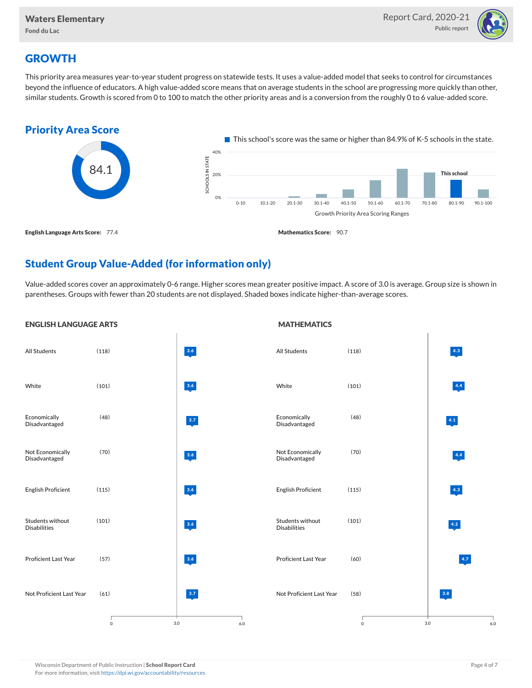

## **GROWTH**

This priority area measures year-to-year student progress on statewide tests. It uses a value-added model that seeks to control for circumstances beyond the influence of educators. A high value-added score means that on average students in the school are progressing more quickly than other, similar students. Growth is scored from 0 to 100 to match the other priority areas and is a conversion from the roughly 0 to 6 value-added score.



## Student Group Value-Added (for information only)

Value-added scores cover an approximately 0-6 range. Higher scores mean greater positive impact. A score of 3.0 is average. Group size is shown in parentheses. Groups with fewer than 20 students are not displayed. Shaded boxes indicate higher-than-average scores.

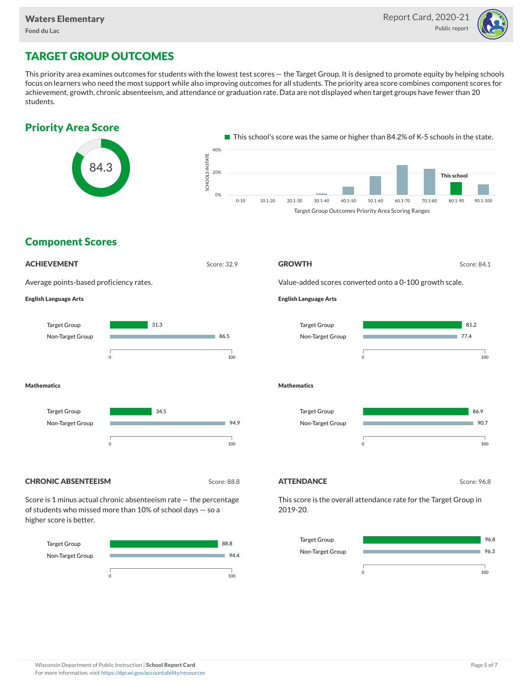

# TARGET GROUP OUTCOMES

This priority area examines outcomes for students with the lowest test scores — the Target Group. It is designed to promote equity by helping schools focus on learners who need the most support while also improving outcomes for all students. The priority area score combines component scores for achievement, growth, chronic absenteeism, and attendance or graduation rate. Data are not displayed when target groups have fewer than 20 students.





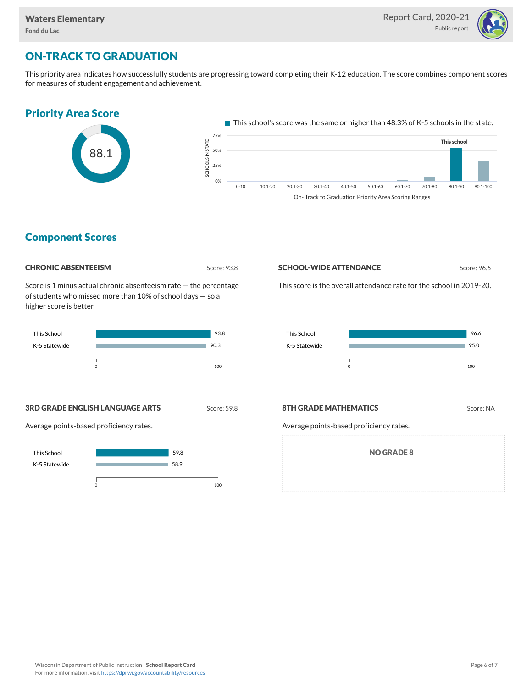

# ON-TRACK TO GRADUATION

This priority area indicates how successfully students are progressing toward completing their K-12 education. The score combines component scores for measures of student engagement and achievement.



On- Track to Graduation Priority Area Scoring Ranges

### Component Scores

| <b>CHRONIC ABSENTEEISM</b> |  |
|----------------------------|--|
|----------------------------|--|

Score: 93.8

Score is 1 minus actual chronic absenteeism rate — the percentage of students who missed more than 10% of school days — so a higher score is better.



**SCHOOL-WIDE ATTENDANCE** Score: 96.6

This score is the overall attendance rate for the school in 2019-20.



**3RD GRADE ENGLISH LANGUAGE ARTS** Score: 59.8

Average points-based proficiency rates.



### **8TH GRADE MATHEMATICS** Score: NA

Average points-based proficiency rates.

NO GRADE 8